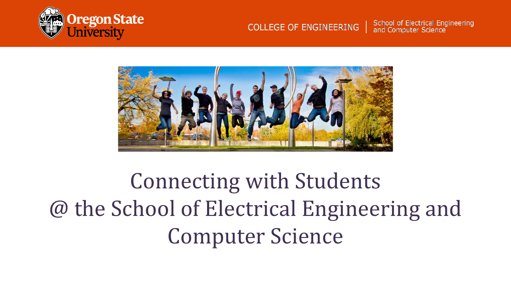

#### School of Electrical Engineering **COLLEGE OF ENGINEERING** and Computer Science



Connecting with Students @ the School of Electrical Engineering and Computer Science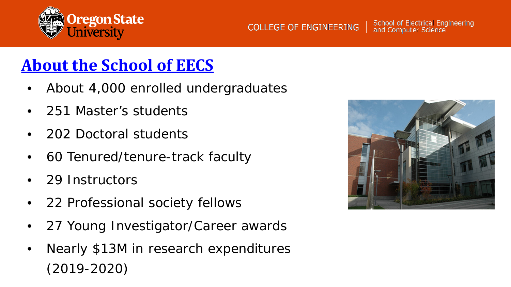

### **COLLEGE OF ENGINEERING**

School of Electrical Engineering<br>and Computer Science

# **[About the School of EECS](https://eecs.oregonstate.edu/about-eecs)**

- About 4,000 enrolled undergraduates
- 251 Master's students
- 202 Doctoral students
- 60 Tenured/tenure-track faculty
- 29 Instructors
- 22 Professional society fellows
- 27 Young Investigator/Career awards
- Nearly \$13M in research expenditures (2019-2020)

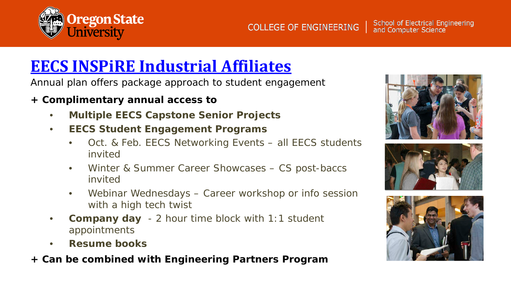

## **EECS INSPiRE [Industrial Affiliates](https://eecs.oregonstate.edu/industry-representatives/inspire-industry-affiliates)**

Annual plan offers package approach to student engagement

### **+ Complimentary annual access to**

- **Multiple EECS Capstone Senior Projects**
- **EECS Student Engagement Programs**
	- Oct. & Feb. EECS Networking Events all EECS students invited
	- Winter & Summer Career Showcases CS post-baccs invited
	- Webinar Wednesdays Career workshop or info session with a high tech twist
- **Company day** 2 hour time block with 1:1 student appointments
- **Resume books**
- **+ Can be combined with Engineering Partners Program**





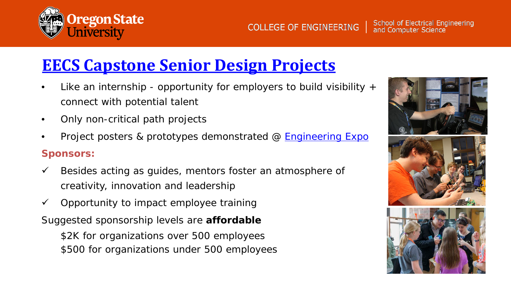

## **[EECS Capstone Senior Design Projects](https://eecs.oregonstate.edu/industry-relations/capstone-and-senior-design-projects)**

- Like an internship opportunity for employers to build visibility  $+$ connect with potential talent
- Only non-critical path projects
- Project posters & prototypes demonstrated @ [Engineering Expo](https://www.youtube.com/watch?v=muOvJEOYAyA) **Sponsors:**
- $\checkmark$  Besides acting as guides, mentors foster an atmosphere of creativity, innovation and leadership
- $\checkmark$  Opportunity to impact employee training

Suggested sponsorship levels are **affordable** \$2K for organizations over 500 employees \$500 for organizations under 500 employees

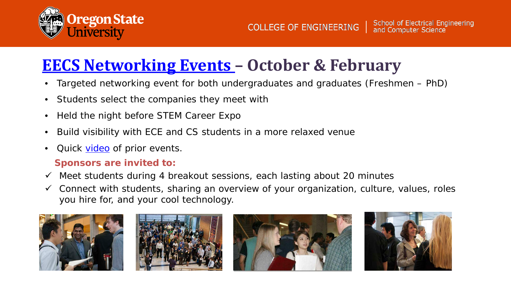

## **[EECS Networking Events](https://eecs.oregonstate.edu/industry-relations/recruit-students/october_netnight/company-info) – October & February**

- Targeted networking event for both undergraduates and graduates (Freshmen PhD)
- Students select the companies they meet with
- Held the night before STEM Career Expo
- Build visibility with ECE and CS students in a more relaxed venue
- Quick [video](https://www.youtube.com/watch?v=G9W83bvAhKc) of prior events.

### **Sponsors are invited to:**

- $\checkmark$  Meet students during 4 breakout sessions, each lasting about 20 minutes
- $\checkmark$  Connect with students, sharing an overview of your organization, culture, values, roles you hire for, and your cool technology.







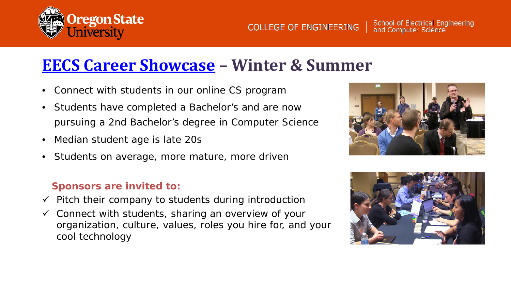

### **[EECS Career Showcase](https://eecs.oregonstate.edu/industry-relations/recruit-students/december_showcase/company-info) – Winter & Summer**

- Connect with students in our online CS program
- Students have completed a Bachelor's and are now pursuing a 2nd Bachelor's degree in Computer Science
- Median student age is late 20s
- Students on average, more mature, more driven

### **Sponsors are invited to:**

- $\checkmark$  Pitch their company to students during introduction
- $\checkmark$  Connect with students, sharing an overview of your organization, culture, values, roles you hire for, and your cool technology



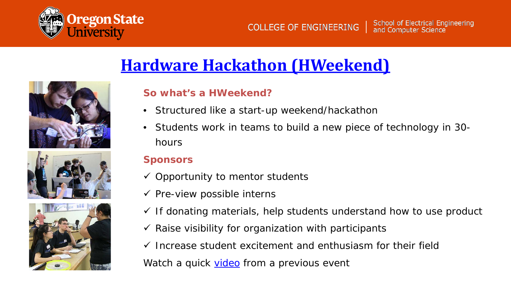

## **[Hardware Hackathon \(HWeekend\)](https://eecs.oregonstate.edu/hweekend)**







### **So what's a HWeekend?**

- Structured like a start-up weekend/hackathon
- Students work in teams to build a new piece of technology in 30 hours

### **Sponsors**

- $\checkmark$  Opportunity to mentor students
- $\checkmark$  Pre-view possible interns
- $\checkmark$  If donating materials, help students understand how to use product
- $\checkmark$  Raise visibility for organization with participants
- $\checkmark$  Increase student excitement and enthusiasm for their field

Watch a quick [video](https://youtu.be/3kZRE8M_zQs) from a previous event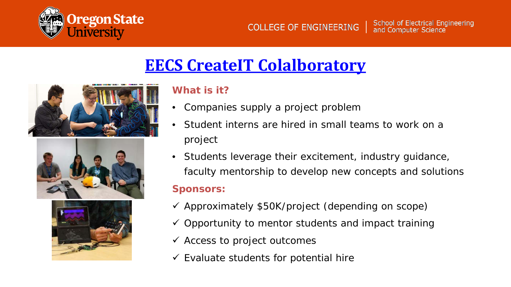

## **[EECS CreateIT](https://eecs.oregonstate.edu/collaboratory) Colalboratory**







### **What is it?**

- Companies supply a project problem
- Student interns are hired in small teams to work on a project
- Students leverage their excitement, industry guidance, faculty mentorship to develop new concepts and solutions

### **Sponsors:**

- $\checkmark$  Approximately \$50K/project (depending on scope)
- $\checkmark$  Opportunity to mentor students and impact training
- $\checkmark$  Access to project outcomes
- $\checkmark$  Evaluate students for potential hire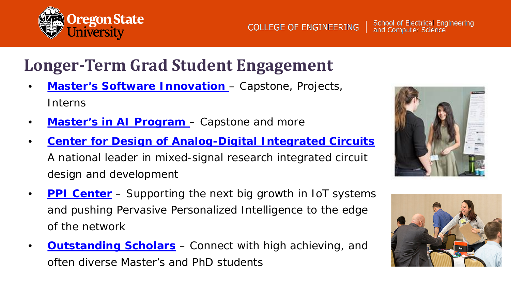

## **Longer-Term Grad Student Engagement**

- **[Master's Software Innovation](https://eecs.oregonstate.edu/future-students/graduate/ms-cs-innovation)**  Capstone, Projects, **Interns**
- **[Master's in AI Program](https://eecs.oregonstate.edu/ai-degree-program)**  Capstone and more
- **[Center for Design of Analog-Digital Integrated Circuits](https://cdadic.oregonstate.edu/)** A national leader in mixed-signal research integrated circuit design and development
- **[PPI Center](https://www.ppicenter.org/)** Supporting the next big growth in IoT systems and pushing Pervasive Personalized Intelligence to the edge of the network
- **[Outstanding Scholars](https://eecs.oregonstate.edu/scholars)** Connect with high achieving, and often diverse Master's and PhD students



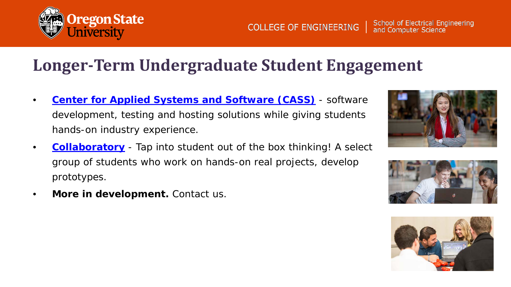

• **More in development.** Contact us.

School of Electrical Engineering<br>and Computer Science **COLLEGE OF ENGINEERING** 

## **Longer-Term Undergraduate Student Engagement**

- **[Center for Applied Systems and Software \(CASS\)](http://cass.oregonstate.edu/)** software development, testing and hosting solutions while giving students hands-on industry experience.
- **[Collaboratory](https://eecs.oregonstate.edu/collaboratory)** Tap into student out of the box thinking! A select group of students who work on hands-on real projects, develop prototypes.





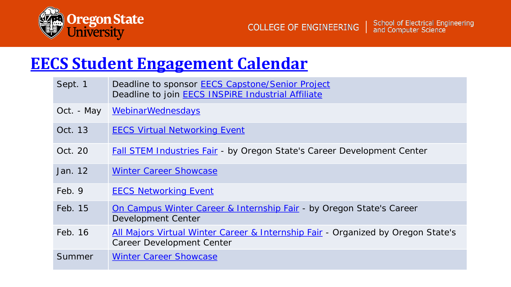

### **[EECS Student Engagement Calendar](https://eecs.oregonstate.edu/industry-relations/calendar)**

| Sept. 1    | Deadline to sponsor <b>EECS Capstone/Senior Project</b><br>Deadline to join <b>EECS INSPIRE Industrial Affiliate</b> |
|------------|----------------------------------------------------------------------------------------------------------------------|
| Oct. - May | <b>WebinarWednesdays</b>                                                                                             |
| Oct. 13    | <b>EECS Virtual Networking Event</b>                                                                                 |
| Oct. 20    | <b>Fall STEM Industries Fair - by Oregon State's Career Development Center</b>                                       |
| Jan. 12    | <b>Winter Career Showcase</b>                                                                                        |
| Feb. 9     | <b>EECS Networking Event</b>                                                                                         |
| Feb. 15    | On Campus Winter Career & Internship Fair - by Oregon State's Career<br>Development Center                           |
| Feb. 16    | All Majors Virtual Winter Career & Internship Fair - Organized by Oregon State's<br>Career Development Center        |
| Summer     | <b>Winter Career Showcase</b>                                                                                        |